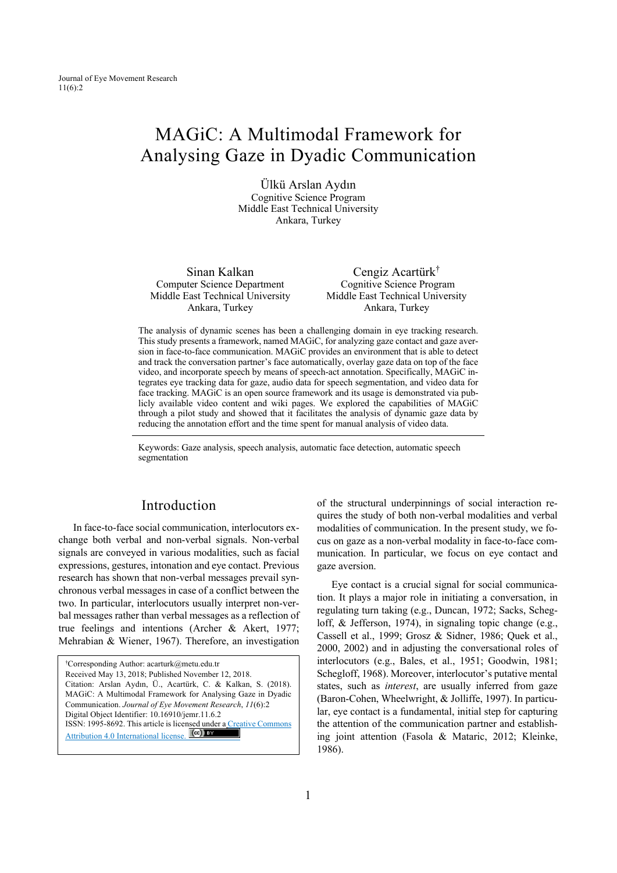# MAGiC: A Multimodal Framework for Analysing Gaze in Dyadic Communication

Ülkü Arslan Aydın Cognitive Science Program Middle East Technical University Ankara, Turkey

Sinan Kalkan Computer Science Department Middle East Technical University Ankara, Turkey

Cengiz Acartürk† Cognitive Science Program Middle East Technical University Ankara, Turkey

The analysis of dynamic scenes has been a challenging domain in eye tracking research. This study presents a framework, named MAGiC, for analyzing gaze contact and gaze aversion in face-to-face communication. MAGiC provides an environment that is able to detect and track the conversation partner's face automatically, overlay gaze data on top of the face video, and incorporate speech by means of speech-act annotation. Specifically, MAGiC integrates eye tracking data for gaze, audio data for speech segmentation, and video data for face tracking. MAGiC is an open source framework and its usage is demonstrated via publicly available video content and wiki pages. We explored the capabilities of MAGiC through a pilot study and showed that it facilitates the analysis of dynamic gaze data by reducing the annotation effort and the time spent for manual analysis of video data.

Keywords: Gaze analysis, speech analysis, automatic face detection, automatic speech segmentation

### Introduction

In face-to-face social communication, interlocutors exchange both verbal and non-verbal signals. Non-verbal signals are conveyed in various modalities, such as facial expressions, gestures, intonation and eye contact. Previous research has shown that non-verbal messages prevail synchronous verbal messages in case of a conflict between the two. In particular, interlocutors usually interpret non-verbal messages rather than verbal messages as a reflection of true feelings and intentions (Archer & Akert, 1977; Mehrabian & Wiener, 1967). Therefore, an investigation

| <sup>†</sup> Corresponding Author: acarturk@metu.edu.tr            |
|--------------------------------------------------------------------|
| Received May 13, 2018; Published November 12, 2018.                |
| Citation: Arslan Aydın, Ü., Acartürk, C. & Kalkan, S. (2018).      |
| MAGiC: A Multimodal Framework for Analysing Gaze in Dyadic         |
| Communication. Journal of Eye Movement Research, 11(6):2           |
| Digital Object Identifier: 10.16910/jemr.11.6.2                    |
| ISSN: 1995-8692. This article is licensed under a Creative Commons |
| Attribution 4.0 International license. <b>[cc]</b> BY              |

of the structural underpinnings of social interaction requires the study of both non-verbal modalities and verbal modalities of communication. In the present study, we focus on gaze as a non-verbal modality in face-to-face communication. In particular, we focus on eye contact and gaze aversion.

Eye contact is a crucial signal for social communication. It plays a major role in initiating a conversation, in regulating turn taking (e.g., Duncan, 1972; Sacks, Schegloff, & Jefferson, 1974), in signaling topic change (e.g., Cassell et al., 1999; Grosz & Sidner, 1986; Quek et al., 2000, 2002) and in adjusting the conversational roles of interlocutors (e.g., Bales, et al., 1951; Goodwin, 1981; Schegloff, 1968). Moreover, interlocutor's putative mental states, such as *interest*, are usually inferred from gaze (Baron-Cohen, Wheelwright, & Jolliffe, 1997). In particular, eye contact is a fundamental, initial step for capturing the attention of the communication partner and establishing joint attention (Fasola & Mataric, 2012; Kleinke, 1986).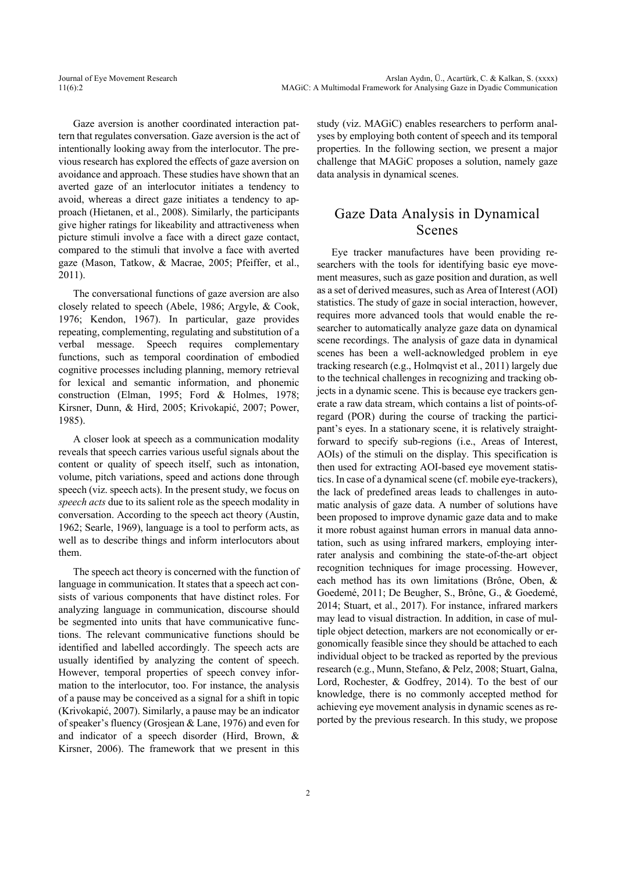Gaze aversion is another coordinated interaction pattern that regulates conversation. Gaze aversion is the act of intentionally looking away from the interlocutor. The previous research has explored the effects of gaze aversion on avoidance and approach. These studies have shown that an averted gaze of an interlocutor initiates a tendency to avoid, whereas a direct gaze initiates a tendency to approach (Hietanen, et al., 2008). Similarly, the participants give higher ratings for likeability and attractiveness when picture stimuli involve a face with a direct gaze contact, compared to the stimuli that involve a face with averted gaze (Mason, Tatkow, & Macrae, 2005; Pfeiffer, et al., 2011).

The conversational functions of gaze aversion are also closely related to speech (Abele, 1986; Argyle, & Cook, 1976; Kendon, 1967). In particular, gaze provides repeating, complementing, regulating and substitution of a verbal message. Speech requires complementary functions, such as temporal coordination of embodied cognitive processes including planning, memory retrieval for lexical and semantic information, and phonemic construction (Elman, 1995; Ford & Holmes, 1978; Kirsner, Dunn, & Hird, 2005; Krivokapić, 2007; Power, 1985).

A closer look at speech as a communication modality reveals that speech carries various useful signals about the content or quality of speech itself, such as intonation, volume, pitch variations, speed and actions done through speech (viz. speech acts). In the present study, we focus on *speech acts* due to its salient role as the speech modality in conversation. According to the speech act theory (Austin, 1962; Searle, 1969), language is a tool to perform acts, as well as to describe things and inform interlocutors about them.

The speech act theory is concerned with the function of language in communication. It states that a speech act consists of various components that have distinct roles. For analyzing language in communication, discourse should be segmented into units that have communicative functions. The relevant communicative functions should be identified and labelled accordingly. The speech acts are usually identified by analyzing the content of speech. However, temporal properties of speech convey information to the interlocutor, too. For instance, the analysis of a pause may be conceived as a signal for a shift in topic (Krivokapić, 2007). Similarly, a pause may be an indicator of speaker's fluency (Grosjean & Lane, 1976) and even for and indicator of a speech disorder (Hird, Brown, & Kirsner, 2006). The framework that we present in this study (viz. MAGiC) enables researchers to perform analyses by employing both content of speech and its temporal properties. In the following section, we present a major challenge that MAGiC proposes a solution, namely gaze data analysis in dynamical scenes.

### Gaze Data Analysis in Dynamical Scenes

Eye tracker manufactures have been providing researchers with the tools for identifying basic eye movement measures, such as gaze position and duration, as well as a set of derived measures, such as Area of Interest (AOI) statistics. The study of gaze in social interaction, however, requires more advanced tools that would enable the researcher to automatically analyze gaze data on dynamical scene recordings. The analysis of gaze data in dynamical scenes has been a well-acknowledged problem in eye tracking research (e.g., Holmqvist et al., 2011) largely due to the technical challenges in recognizing and tracking objects in a dynamic scene. This is because eye trackers generate a raw data stream, which contains a list of points-ofregard (POR) during the course of tracking the participant's eyes. In a stationary scene, it is relatively straightforward to specify sub-regions (i.e., Areas of Interest, AOIs) of the stimuli on the display. This specification is then used for extracting AOI-based eye movement statistics. In case of a dynamical scene (cf. mobile eye-trackers), the lack of predefined areas leads to challenges in automatic analysis of gaze data. A number of solutions have been proposed to improve dynamic gaze data and to make it more robust against human errors in manual data annotation, such as using infrared markers, employing interrater analysis and combining the state-of-the-art object recognition techniques for image processing. However, each method has its own limitations (Brône, Oben, & Goedemé, 2011; De Beugher, S., Brône, G., & Goedemé, 2014; Stuart, et al., 2017). For instance, infrared markers may lead to visual distraction. In addition, in case of multiple object detection, markers are not economically or ergonomically feasible since they should be attached to each individual object to be tracked as reported by the previous research (e.g., Munn, Stefano, & Pelz, 2008; Stuart, Galna, Lord, Rochester, & Godfrey, 2014). To the best of our knowledge, there is no commonly accepted method for achieving eye movement analysis in dynamic scenes as reported by the previous research. In this study, we propose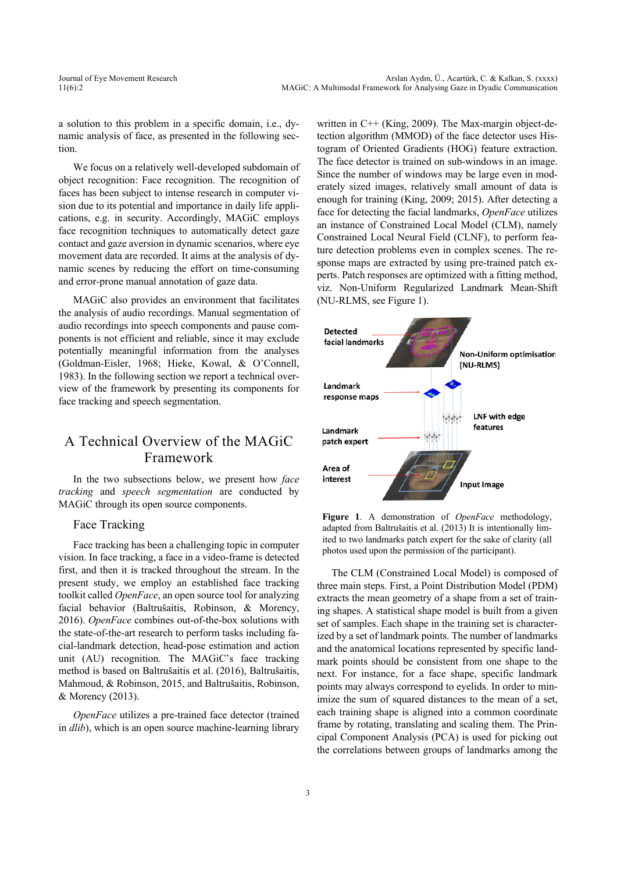a solution to this problem in a specific domain, i.e., dynamic analysis of face, as presented in the following section.

We focus on a relatively well-developed subdomain of object recognition: Face recognition. The recognition of faces has been subject to intense research in computer vision due to its potential and importance in daily life applications, e.g. in security. Accordingly, MAGiC employs face recognition techniques to automatically detect gaze contact and gaze aversion in dynamic scenarios, where eye movement data are recorded. It aims at the analysis of dynamic scenes by reducing the effort on time-consuming and error-prone manual annotation of gaze data.

MAGiC also provides an environment that facilitates the analysis of audio recordings. Manual segmentation of audio recordings into speech components and pause components is not efficient and reliable, since it may exclude potentially meaningful information from the analyses (Goldman-Eisler, 1968; Hieke, Kowal, & O'Connell, 1983). In the following section we report a technical overview of the framework by presenting its components for face tracking and speech segmentation.

### A Technical Overview of the MAGiC Framework

In the two subsections below, we present how *face tracking* and *speech segmentation* are conducted by MAGiC through its open source components.

#### Face Tracking

Face tracking has been a challenging topic in computer vision. In face tracking, a face in a video-frame is detected first, and then it is tracked throughout the stream. In the present study, we employ an established face tracking toolkit called *OpenFace*, an open source tool for analyzing facial behavior (Baltrušaitis, Robinson, & Morency, 2016). *OpenFace* combines out-of-the-box solutions with the state-of-the-art research to perform tasks including facial-landmark detection, head-pose estimation and action unit (AU) recognition. The MAGiC's face tracking method is based on Baltrušaitis et al. (2016), Baltrušaitis, Mahmoud, & Robinson, 2015, and Baltrušaitis, Robinson, & Morency (2013).

*OpenFace* utilizes a pre-trained face detector (trained in *dlib*), which is an open source machine-learning library written in C++ (King, 2009). The Max-margin object-detection algorithm (MMOD) of the face detector uses Histogram of Oriented Gradients (HOG) feature extraction. The face detector is trained on sub-windows in an image. Since the number of windows may be large even in moderately sized images, relatively small amount of data is enough for training (King, 2009; 2015). After detecting a face for detecting the facial landmarks, *OpenFace* utilizes an instance of Constrained Local Model (CLM), namely Constrained Local Neural Field (CLNF), to perform feature detection problems even in complex scenes. The response maps are extracted by using pre-trained patch experts. Patch responses are optimized with a fitting method, viz. Non-Uniform Regularized Landmark Mean-Shift (NU-RLMS, see Figure 1).



**Figure 1**. A demonstration of *OpenFace* methodology, adapted from Baltrušaitis et al. (2013) It is intentionally limited to two landmarks patch expert for the sake of clarity (all photos used upon the permission of the participant).

The CLM (Constrained Local Model) is composed of three main steps. First, a Point Distribution Model (PDM) extracts the mean geometry of a shape from a set of training shapes. A statistical shape model is built from a given set of samples. Each shape in the training set is characterized by a set of landmark points. The number of landmarks and the anatomical locations represented by specific landmark points should be consistent from one shape to the next. For instance, for a face shape, specific landmark points may always correspond to eyelids. In order to minimize the sum of squared distances to the mean of a set, each training shape is aligned into a common coordinate frame by rotating, translating and scaling them. The Principal Component Analysis (PCA) is used for picking out the correlations between groups of landmarks among the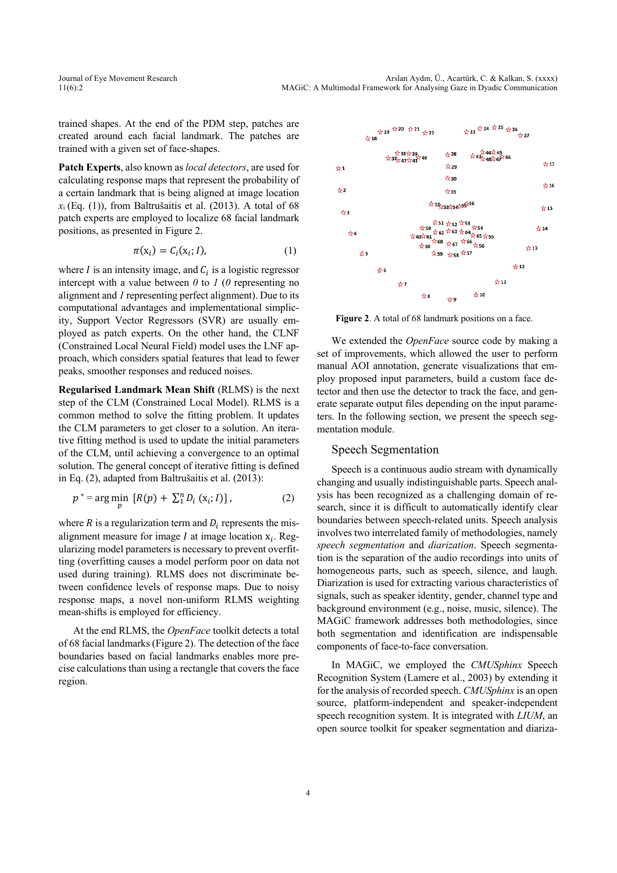trained shapes. At the end of the PDM step, patches are created around each facial landmark. The patches are trained with a given set of face-shapes.

**Patch Experts**, also known as *local detectors*, are used for calculating response maps that represent the probability of a certain landmark that is being aligned at image location *x*<sup>i</sup> (Eq. (1)), from Baltrušaitis et al. (2013). A total of 68 patch experts are employed to localize 68 facial landmark positions, as presented in Figure 2.

$$
\pi(\mathbf{x}_i) = C_i(\mathbf{x}_i; I),\tag{1}
$$

where  $I$  is an intensity image, and  $C_i$  is a logistic regressor intercept with a value between *0* to *1* (*0* representing no alignment and *1* representing perfect alignment). Due to its computational advantages and implementational simplicity, Support Vector Regressors (SVR) are usually employed as patch experts. On the other hand, the CLNF (Constrained Local Neural Field) model uses the LNF approach, which considers spatial features that lead to fewer peaks, smoother responses and reduced noises.

**Regularised Landmark Mean Shift** (RLMS) is the next step of the CLM (Constrained Local Model). RLMS is a common method to solve the fitting problem. It updates the CLM parameters to get closer to a solution. An iterative fitting method is used to update the initial parameters of the CLM, until achieving a convergence to an optimal solution. The general concept of iterative fitting is defined in Eq. (2), adapted from Baltrušaitis et al. (2013):

$$
p^* = \arg\min_p \left[ R(p) + \sum_{i=1}^{n} D_i \left( x_i; I \right) \right],
$$
 (2)

where  $R$  is a regularization term and  $D_i$  represents the misalignment measure for image  $I$  at image location  $x_i$ . Regularizing model parameters is necessary to prevent overfitting (overfitting causes a model perform poor on data not used during training). RLMS does not discriminate between confidence levels of response maps. Due to noisy response maps, a novel non-uniform RLMS weighting mean-shifts is employed for efficiency.

At the end RLMS, the *OpenFace* toolkit detects a total of 68 facial landmarks (Figure 2). The detection of the face boundaries based on facial landmarks enables more precise calculations than using a rectangle that covers the face region.



Figure 2. A total of 68 landmark positions on a face.

We extended the *OpenFace* source code by making a set of improvements, which allowed the user to perform manual AOI annotation, generate visualizations that employ proposed input parameters, build a custom face detector and then use the detector to track the face, and generate separate output files depending on the input parameters. In the following section, we present the speech segmentation module.

#### Speech Segmentation

Speech is a continuous audio stream with dynamically changing and usually indistinguishable parts. Speech analysis has been recognized as a challenging domain of research, since it is difficult to automatically identify clear boundaries between speech-related units. Speech analysis involves two interrelated family of methodologies, namely *speech segmentation* and *diarization*. Speech segmentation is the separation of the audio recordings into units of homogeneous parts, such as speech, silence, and laugh. Diarization is used for extracting various characteristics of signals, such as speaker identity, gender, channel type and background environment (e.g., noise, music, silence). The MAGiC framework addresses both methodologies, since both segmentation and identification are indispensable components of face-to-face conversation.

In MAGiC, we employed the *CMUSphinx* Speech Recognition System (Lamere et al., 2003) by extending it for the analysis of recorded speech. *CMUSphinx* is an open source, platform-independent and speaker-independent speech recognition system. It is integrated with *LIUM*, an open source toolkit for speaker segmentation and diariza-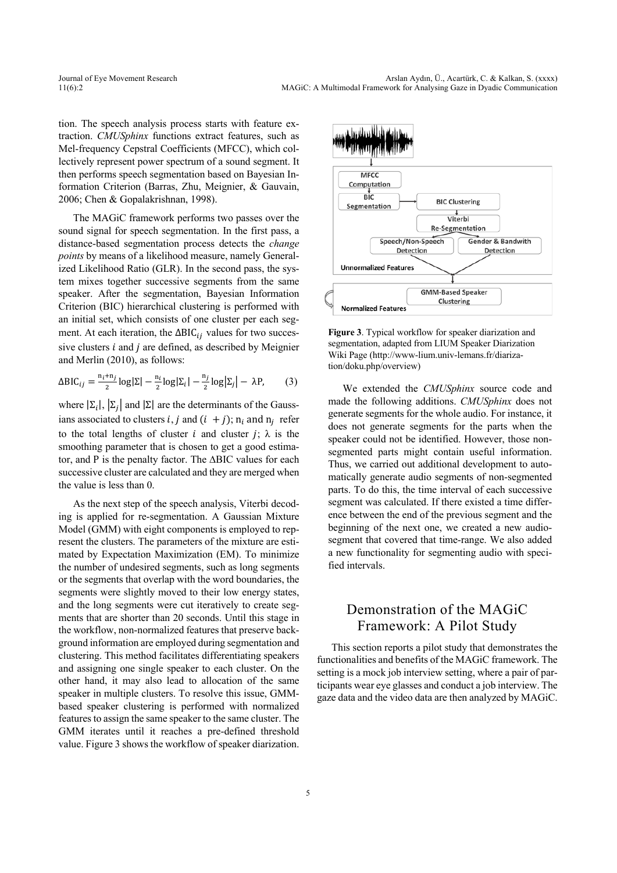tion. The speech analysis process starts with feature extraction. *CMUSphinx* functions extract features, such as Mel-frequency Cepstral Coefficients (MFCC), which collectively represent power spectrum of a sound segment. It then performs speech segmentation based on Bayesian Information Criterion (Barras, Zhu, Meignier, & Gauvain, 2006; Chen & Gopalakrishnan, 1998).

The MAGiC framework performs two passes over the sound signal for speech segmentation. In the first pass, a distance-based segmentation process detects the *change points* by means of a likelihood measure, namely Generalized Likelihood Ratio (GLR). In the second pass, the system mixes together successive segments from the same speaker. After the segmentation, Bayesian Information Criterion (BIC) hierarchical clustering is performed with an initial set, which consists of one cluster per each segment. At each iteration, the  $\Delta BIC_{ij}$  values for two successive clusters  $i$  and  $j$  are defined, as described by Meignier and Merlin (2010), as follows:

$$
\Delta \text{BIC}_{ij} = \frac{n_i + n_j}{2} \log |\Sigma| - \frac{n_i}{2} \log |\Sigma_i| - \frac{n_j}{2} \log |\Sigma_j| - \lambda P,\tag{3}
$$

where  $|\Sigma_i|, |\Sigma_j|$  and  $|\Sigma|$  are the determinants of the Gaussians associated to clusters *i*, *j* and  $(i + j)$ ;  $n_i$  and  $n_j$  refer to the total lengths of cluster *i* and cluster *j*;  $\lambda$  is the smoothing parameter that is chosen to get a good estimator, and P is the penalty factor. The ∆BIC values for each successive cluster are calculated and they are merged when the value is less than 0.

As the next step of the speech analysis, Viterbi decoding is applied for re-segmentation. A Gaussian Mixture Model (GMM) with eight components is employed to represent the clusters. The parameters of the mixture are estimated by Expectation Maximization (EM). To minimize the number of undesired segments, such as long segments or the segments that overlap with the word boundaries, the segments were slightly moved to their low energy states, and the long segments were cut iteratively to create segments that are shorter than 20 seconds. Until this stage in the workflow, non-normalized features that preserve background information are employed during segmentation and clustering. This method facilitates differentiating speakers and assigning one single speaker to each cluster. On the other hand, it may also lead to allocation of the same speaker in multiple clusters. To resolve this issue, GMMbased speaker clustering is performed with normalized features to assign the same speaker to the same cluster. The GMM iterates until it reaches a pre-defined threshold value. Figure 3 shows the workflow of speaker diarization.



**Figure 3**. Typical workflow for speaker diarization and segmentation, adapted from LIUM Speaker Diarization Wiki Page (http://www-lium.univ-lemans.fr/diarization/doku.php/overview)

We extended the *CMUSphinx* source code and made the following additions. *CMUSphinx* does not generate segments for the whole audio. For instance, it does not generate segments for the parts when the speaker could not be identified. However, those nonsegmented parts might contain useful information. Thus, we carried out additional development to automatically generate audio segments of non-segmented parts. To do this, the time interval of each successive segment was calculated. If there existed a time difference between the end of the previous segment and the beginning of the next one, we created a new audiosegment that covered that time-range. We also added a new functionality for segmenting audio with specified intervals.

## Demonstration of the MAGiC Framework: A Pilot Study

This section reports a pilot study that demonstrates the functionalities and benefits of the MAGiC framework. The setting is a mock job interview setting, where a pair of participants wear eye glasses and conduct a job interview. The gaze data and the video data are then analyzed by MAGiC.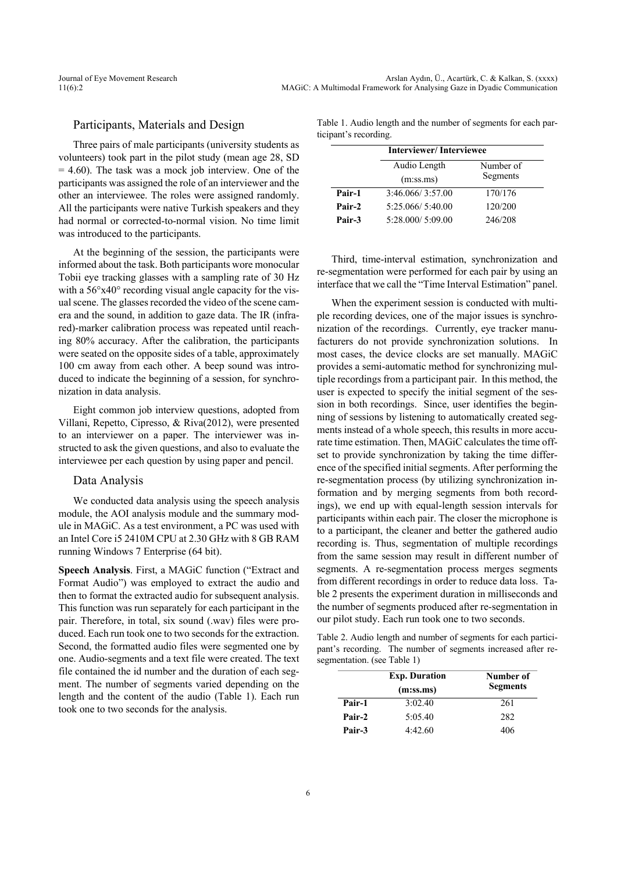#### Participants, Materials and Design

Three pairs of male participants (university students as volunteers) took part in the pilot study (mean age 28, SD  $= 4.60$ ). The task was a mock job interview. One of the participants was assigned the role of an interviewer and the other an interviewee. The roles were assigned randomly. All the participants were native Turkish speakers and they had normal or corrected-to-normal vision. No time limit was introduced to the participants.

At the beginning of the session, the participants were informed about the task. Both participants wore monocular Tobii eye tracking glasses with a sampling rate of 30 Hz with a  $56^{\circ}x40^{\circ}$  recording visual angle capacity for the visual scene. The glasses recorded the video of the scene camera and the sound, in addition to gaze data. The IR (infrared)-marker calibration process was repeated until reaching 80% accuracy. After the calibration, the participants were seated on the opposite sides of a table, approximately 100 cm away from each other. A beep sound was introduced to indicate the beginning of a session, for synchronization in data analysis.

Eight common job interview questions, adopted from Villani, Repetto, Cipresso, & Riva(2012), were presented to an interviewer on a paper. The interviewer was instructed to ask the given questions, and also to evaluate the interviewee per each question by using paper and pencil.

#### Data Analysis

We conducted data analysis using the speech analysis module, the AOI analysis module and the summary module in MAGiC. As a test environment, a PC was used with an Intel Core i5 2410M CPU at 2.30 GHz with 8 GB RAM running Windows 7 Enterprise (64 bit).

**Speech Analysis**. First, a MAGiC function ("Extract and Format Audio") was employed to extract the audio and then to format the extracted audio for subsequent analysis. This function was run separately for each participant in the pair. Therefore, in total, six sound (.wav) files were produced. Each run took one to two seconds for the extraction. Second, the formatted audio files were segmented one by one. Audio-segments and a text file were created. The text file contained the id number and the duration of each segment. The number of segments varied depending on the length and the content of the audio (Table 1). Each run took one to two seconds for the analysis.

Table 1. Audio length and the number of segments for each participant's recording.

|        | <b>Interviewer/Interviewee</b> |           |
|--------|--------------------------------|-----------|
|        | Audio Length                   | Number of |
|        | (m:ss.ms)                      | Segments  |
| Pair-1 | 3:46.066/3:57.00               | 170/176   |
| Pair-2 | 5:25.066/ 5:40.00              | 120/200   |
| Pair-3 | 5:28.000/5:09.00               | 246/208   |

Third, time-interval estimation, synchronization and re-segmentation were performed for each pair by using an interface that we call the "Time Interval Estimation" panel.

When the experiment session is conducted with multiple recording devices, one of the major issues is synchronization of the recordings. Currently, eye tracker manufacturers do not provide synchronization solutions. In most cases, the device clocks are set manually. MAGiC provides a semi-automatic method for synchronizing multiple recordings from a participant pair. In this method, the user is expected to specify the initial segment of the session in both recordings. Since, user identifies the beginning of sessions by listening to automatically created segments instead of a whole speech, this results in more accurate time estimation. Then, MAGiC calculates the time offset to provide synchronization by taking the time difference of the specified initial segments. After performing the re-segmentation process (by utilizing synchronization information and by merging segments from both recordings), we end up with equal-length session intervals for participants within each pair. The closer the microphone is to a participant, the cleaner and better the gathered audio recording is. Thus, segmentation of multiple recordings from the same session may result in different number of segments. A re-segmentation process merges segments from different recordings in order to reduce data loss. Table 2 presents the experiment duration in milliseconds and the number of segments produced after re-segmentation in our pilot study. Each run took one to two seconds.

Table 2. Audio length and number of segments for each participant's recording. The number of segments increased after resegmentation. (see Table 1)

|        | <b>Exp. Duration</b><br>(m:ss.ms) | Number of<br><b>Segments</b> |
|--------|-----------------------------------|------------------------------|
| Pair-1 | 3:02.40                           | 261                          |
| Pair-2 | 5:05.40                           | 282                          |
| Pair-3 | 4:42.60                           | 406                          |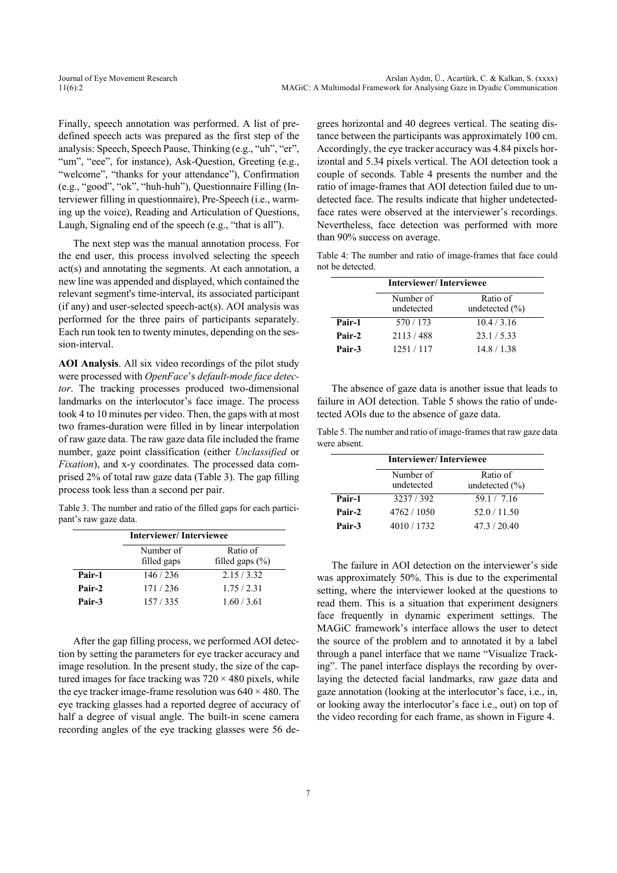Finally, speech annotation was performed. A list of predefined speech acts was prepared as the first step of the analysis: Speech, Speech Pause, Thinking (e.g., "uh", "er", "um", "eee", for instance), Ask-Question, Greeting (e.g., "welcome", "thanks for your attendance"), Confirmation (e.g., "good", "ok", "huh-huh"), Questionnaire Filling (Interviewer filling in questionnaire), Pre-Speech (i.e., warming up the voice), Reading and Articulation of Questions, Laugh, Signaling end of the speech (e.g., "that is all").

The next step was the manual annotation process. For the end user, this process involved selecting the speech act(s) and annotating the segments. At each annotation, a new line was appended and displayed, which contained the relevant segment's time-interval, its associated participant (if any) and user-selected speech-act(s). AOI analysis was performed for the three pairs of participants separately. Each run took ten to twenty minutes, depending on the session-interval.

**AOI Analysis**. All six video recordings of the pilot study were processed with *OpenFace*'s *default-mode face detector*. The tracking processes produced two-dimensional landmarks on the interlocutor's face image. The process took 4 to 10 minutes per video. Then, the gaps with at most two frames-duration were filled in by linear interpolation of raw gaze data. The raw gaze data file included the frame number, gaze point classification (either *Unclassified* or *Fixation*), and x-y coordinates. The processed data comprised 2% of total raw gaze data (Table 3). The gap filling process took less than a second per pair.

Table 3. The number and ratio of the filled gaps for each participant's raw gaze data.

|        | <b>Interviewer/Interviewee</b> |                                 |
|--------|--------------------------------|---------------------------------|
|        | Number of<br>filled gaps       | Ratio of<br>filled gaps $(\% )$ |
| Pair-1 | 146/236                        | 2.15/3.32                       |
| Pair-2 | 171 / 236                      | 1.75/2.31                       |
| Pair-3 | 157/335                        | 1.60 / 3.61                     |

After the gap filling process, we performed AOI detection by setting the parameters for eye tracker accuracy and image resolution. In the present study, the size of the captured images for face tracking was  $720 \times 480$  pixels, while the eye tracker image-frame resolution was  $640 \times 480$ . The eye tracking glasses had a reported degree of accuracy of half a degree of visual angle. The built-in scene camera recording angles of the eye tracking glasses were 56 degrees horizontal and 40 degrees vertical. The seating distance between the participants was approximately 100 cm. Accordingly, the eye tracker accuracy was 4.84 pixels horizontal and 5.34 pixels vertical. The AOI detection took a couple of seconds. Table 4 presents the number and the ratio of image-frames that AOI detection failed due to undetected face. The results indicate that higher undetectedface rates were observed at the interviewer's recordings. Nevertheless, face detection was performed with more than 90% success on average.

Table 4: The number and ratio of image-frames that face could not be detected.

|        | <b>Interviewer/Interviewee</b> |                                |
|--------|--------------------------------|--------------------------------|
|        | Number of<br>undetected        | Ratio of<br>undetected $(\% )$ |
| Pair-1 | 570/173                        | 10.4 / 3.16                    |
| Pair-2 | 2113/488                       | 23.1 / 5.33                    |
| Pair-3 | 1251/117                       | 14.8/1.38                      |

The absence of gaze data is another issue that leads to failure in AOI detection. Table 5 shows the ratio of undetected AOIs due to the absence of gaze data.

Table 5. The number and ratio of image-frames that raw gaze data were absent.

|        | <b>Interviewer/Interviewee</b> |                                |
|--------|--------------------------------|--------------------------------|
|        | Number of<br>undetected        | Ratio of<br>undetected $(\% )$ |
| Pair-1 | 3237/392                       | 59.1 / 7.16                    |
| Pair-2 | 4762/1050                      | 52.0 / 11.50                   |
| Pair-3 | 4010/1732                      | 47.3/20.40                     |
|        |                                |                                |

The failure in AOI detection on the interviewer's side was approximately 50%. This is due to the experimental setting, where the interviewer looked at the questions to read them. This is a situation that experiment designers face frequently in dynamic experiment settings. The MAGiC framework's interface allows the user to detect the source of the problem and to annotated it by a label through a panel interface that we name "Visualize Tracking". The panel interface displays the recording by overlaying the detected facial landmarks, raw gaze data and gaze annotation (looking at the interlocutor's face, i.e., in, or looking away the interlocutor's face i.e., out) on top of the video recording for each frame, as shown in Figure 4.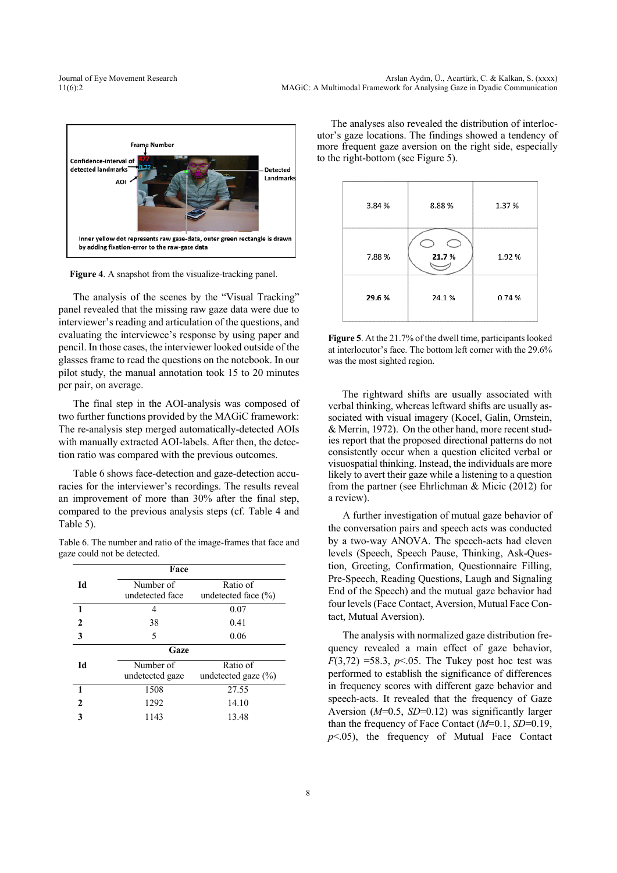

**Figure 4**. A snapshot from the visualize-tracking panel.

The analysis of the scenes by the "Visual Tracking" panel revealed that the missing raw gaze data were due to interviewer's reading and articulation of the questions, and evaluating the interviewee's response by using paper and pencil. In those cases, the interviewer looked outside of the glasses frame to read the questions on the notebook. In our pilot study, the manual annotation took 15 to 20 minutes per pair, on average.

The final step in the AOI-analysis was composed of two further functions provided by the MAGiC framework: The re-analysis step merged automatically-detected AOIs with manually extracted AOI-labels. After then, the detection ratio was compared with the previous outcomes.

Table 6 shows face-detection and gaze-detection accuracies for the interviewer's recordings. The results reveal an improvement of more than 30% after the final step, compared to the previous analysis steps (cf. Table 4 and Table 5).

Table 6. The number and ratio of the image-frames that face and gaze could not be detected.

|    | Face                         |                                     |  |
|----|------------------------------|-------------------------------------|--|
| Id | Number of<br>undetected face | Ratio of<br>undetected face $(\% )$ |  |
| 1  | 4                            | 0.07                                |  |
| 2  | 38                           | 0.41                                |  |
| 3  | 5                            | 0.06                                |  |
|    | Gaze                         |                                     |  |
| Id | Number of<br>undetected gaze | Ratio of<br>undetected gaze $(\% )$ |  |
|    | 1508                         | 27.55                               |  |
| 2  | 1292                         | 14.10                               |  |
| 3  | 1143                         | 13.48                               |  |

The analyses also revealed the distribution of interlocutor's gaze locations. The findings showed a tendency of more frequent gaze aversion on the right side, especially to the right-bottom (see Figure 5).



**Figure 5**. At the 21.7% of the dwell time, participants looked at interlocutor's face. The bottom left corner with the 29.6% was the most sighted region.

The rightward shifts are usually associated with verbal thinking, whereas leftward shifts are usually associated with visual imagery (Kocel, Galin, Ornstein, & Merrin, 1972). On the other hand, more recent studies report that the proposed directional patterns do not consistently occur when a question elicited verbal or visuospatial thinking. Instead, the individuals are more likely to avert their gaze while a listening to a question from the partner (see Ehrlichman & Micic (2012) for a review).

A further investigation of mutual gaze behavior of the conversation pairs and speech acts was conducted by a two-way ANOVA. The speech-acts had eleven levels (Speech, Speech Pause, Thinking, Ask-Question, Greeting, Confirmation, Questionnaire Filling, Pre-Speech, Reading Questions, Laugh and Signaling End of the Speech) and the mutual gaze behavior had four levels (Face Contact, Aversion, Mutual Face Contact, Mutual Aversion).

The analysis with normalized gaze distribution frequency revealed a main effect of gaze behavior,  $F(3,72)$  =58.3, *p*<.05. The Tukey post hoc test was performed to establish the significance of differences in frequency scores with different gaze behavior and speech-acts. It revealed that the frequency of Gaze Aversion (*M*=0.5, *SD*=0.12) was significantly larger than the frequency of Face Contact (*M*=0.1, *SD*=0.19, *p*<.05), the frequency of Mutual Face Contact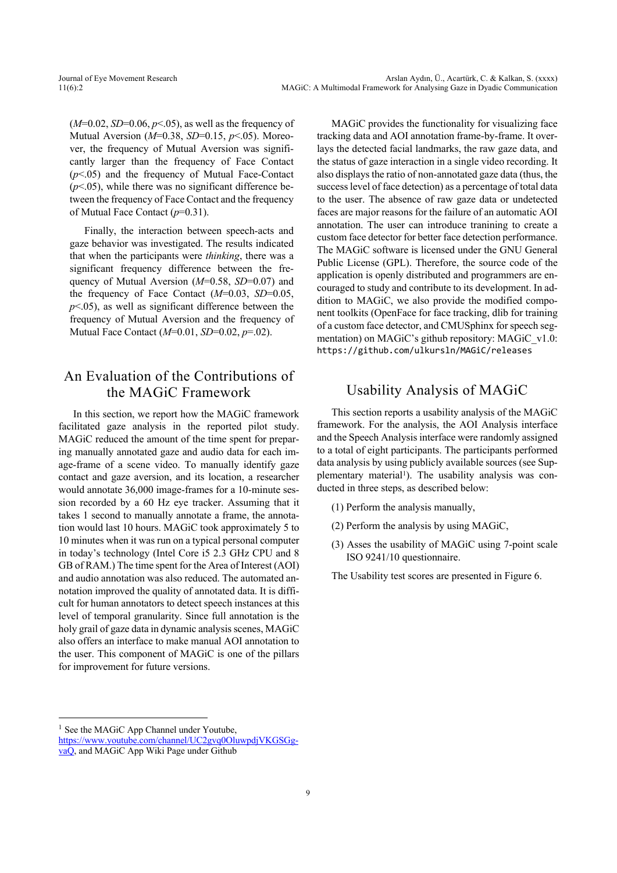(*M*=0.02, *SD*=0.06, *p*<.05), as well as the frequency of Mutual Aversion (*M*=0.38, *SD*=0.15, *p*<.05). Moreover, the frequency of Mutual Aversion was significantly larger than the frequency of Face Contact (*p*<.05) and the frequency of Mutual Face-Contact  $(p<.05)$ , while there was no significant difference between the frequency of Face Contact and the frequency of Mutual Face Contact (*p*=0.31).

Finally, the interaction between speech-acts and gaze behavior was investigated. The results indicated that when the participants were *thinking*, there was a significant frequency difference between the frequency of Mutual Aversion ( $M=0.58$ ,  $SD=0.07$ ) and the frequency of Face Contact (*M*=0.03, *SD*=0.05, *p*<.05), as well as significant difference between the frequency of Mutual Aversion and the frequency of Mutual Face Contact (*M*=0.01, *SD*=0.02, *p*=.02).

### An Evaluation of the Contributions of the MAGiC Framework

In this section, we report how the MAGiC framework facilitated gaze analysis in the reported pilot study. MAGiC reduced the amount of the time spent for preparing manually annotated gaze and audio data for each image-frame of a scene video. To manually identify gaze contact and gaze aversion, and its location, a researcher would annotate 36,000 image-frames for a 10-minute session recorded by a 60 Hz eye tracker. Assuming that it takes 1 second to manually annotate a frame, the annotation would last 10 hours. MAGiC took approximately 5 to 10 minutes when it was run on a typical personal computer in today's technology (Intel Core i5 2.3 GHz CPU and 8 GB of RAM.) The time spent for the Area of Interest (AOI) and audio annotation was also reduced. The automated annotation improved the quality of annotated data. It is difficult for human annotators to detect speech instances at this level of temporal granularity. Since full annotation is the holy grail of gaze data in dynamic analysis scenes, MAGiC also offers an interface to make manual AOI annotation to the user. This component of MAGiC is one of the pillars for improvement for future versions.

 $<sup>1</sup>$  See the MAGiC App Channel under Youtube,</sup>

MAGiC provides the functionality for visualizing face tracking data and AOI annotation frame-by-frame. It overlays the detected facial landmarks, the raw gaze data, and the status of gaze interaction in a single video recording. It also displays the ratio of non-annotated gaze data (thus, the success level of face detection) as a percentage of total data to the user. The absence of raw gaze data or undetected faces are major reasons for the failure of an automatic AOI annotation. The user can introduce tranining to create a custom face detector for better face detection performance. The MAGiC software is licensed under the GNU General Public License (GPL). Therefore, the source code of the application is openly distributed and programmers are encouraged to study and contribute to its development. In addition to MAGiC, we also provide the modified component toolkits (OpenFace for face tracking, dlib for training of a custom face detector, and CMUSphinx for speech segmentation) on MAGiC's github repository: MAGiC\_v1.0: https://github.com/ulkursln/MAGiC/releases

### Usability Analysis of MAGiC

This section reports a usability analysis of the MAGiC framework. For the analysis, the AOI Analysis interface and the Speech Analysis interface were randomly assigned to a total of eight participants. The participants performed data analysis by using publicly available sources (see Supplementary material<sup>1</sup>). The usability analysis was conducted in three steps, as described below:

- (1) Perform the analysis manually,
- (2) Perform the analysis by using MAGiC,
- (3) Asses the usability of MAGiC using 7-point scale ISO 9241/10 questionnaire.

The Usability test scores are presented in Figure 6.

https://www.youtube.com/channel/UC2gvq0OluwpdjVKGSGgvaQ, and MAGiC App Wiki Page under Github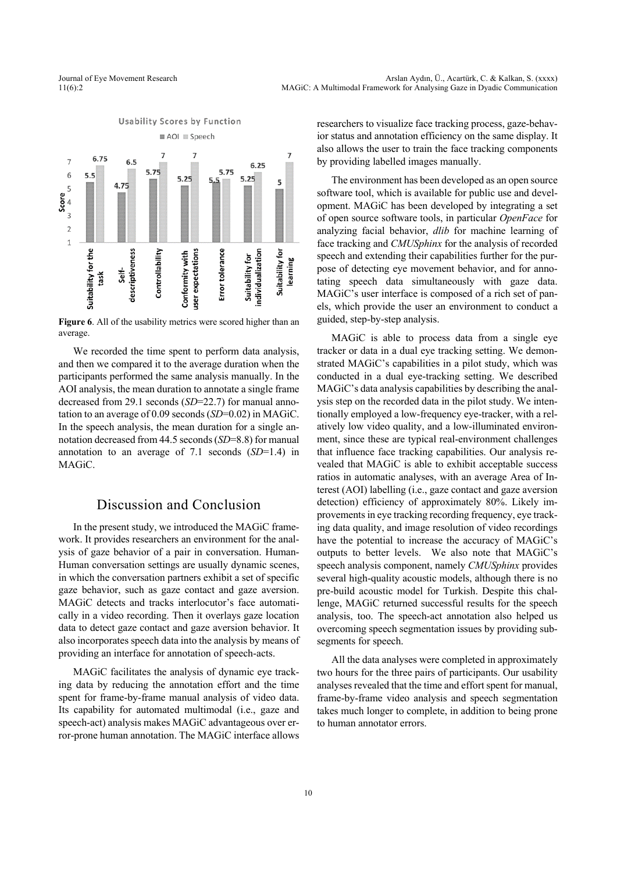

**Figure 6**. All of the usability metrics were scored higher than an average.

We recorded the time spent to perform data analysis, and then we compared it to the average duration when the participants performed the same analysis manually. In the AOI analysis, the mean duration to annotate a single frame decreased from 29.1 seconds (*SD*=22.7) for manual annotation to an average of 0.09 seconds (*SD*=0.02) in MAGiC. In the speech analysis, the mean duration for a single annotation decreased from 44.5 seconds (*SD*=8.8) for manual annotation to an average of 7.1 seconds (*SD*=1.4) in MAGiC.

### Discussion and Conclusion

In the present study, we introduced the MAGiC framework. It provides researchers an environment for the analysis of gaze behavior of a pair in conversation. Human-Human conversation settings are usually dynamic scenes, in which the conversation partners exhibit a set of specific gaze behavior, such as gaze contact and gaze aversion. MAGiC detects and tracks interlocutor's face automatically in a video recording. Then it overlays gaze location data to detect gaze contact and gaze aversion behavior. It also incorporates speech data into the analysis by means of providing an interface for annotation of speech-acts.

MAGiC facilitates the analysis of dynamic eye tracking data by reducing the annotation effort and the time spent for frame-by-frame manual analysis of video data. Its capability for automated multimodal (i.e., gaze and speech-act) analysis makes MAGiC advantageous over error-prone human annotation. The MAGiC interface allows researchers to visualize face tracking process, gaze-behavior status and annotation efficiency on the same display. It also allows the user to train the face tracking components by providing labelled images manually.

The environment has been developed as an open source software tool, which is available for public use and development. MAGiC has been developed by integrating a set of open source software tools, in particular *OpenFace* for analyzing facial behavior, *dlib* for machine learning of face tracking and *CMUSphinx* for the analysis of recorded speech and extending their capabilities further for the purpose of detecting eye movement behavior, and for annotating speech data simultaneously with gaze data. MAGiC's user interface is composed of a rich set of panels, which provide the user an environment to conduct a guided, step-by-step analysis.

MAGiC is able to process data from a single eye tracker or data in a dual eye tracking setting. We demonstrated MAGiC's capabilities in a pilot study, which was conducted in a dual eye-tracking setting. We described MAGiC's data analysis capabilities by describing the analysis step on the recorded data in the pilot study. We intentionally employed a low-frequency eye-tracker, with a relatively low video quality, and a low-illuminated environment, since these are typical real-environment challenges that influence face tracking capabilities. Our analysis revealed that MAGiC is able to exhibit acceptable success ratios in automatic analyses, with an average Area of Interest (AOI) labelling (i.e., gaze contact and gaze aversion detection) efficiency of approximately 80%. Likely improvements in eye tracking recording frequency, eye tracking data quality, and image resolution of video recordings have the potential to increase the accuracy of MAGiC's outputs to better levels. We also note that MAGiC's speech analysis component, namely *CMUSphinx* provides several high-quality acoustic models, although there is no pre-build acoustic model for Turkish. Despite this challenge, MAGiC returned successful results for the speech analysis, too. The speech-act annotation also helped us overcoming speech segmentation issues by providing subsegments for speech.

All the data analyses were completed in approximately two hours for the three pairs of participants. Our usability analyses revealed that the time and effort spent for manual, frame-by-frame video analysis and speech segmentation takes much longer to complete, in addition to being prone to human annotator errors.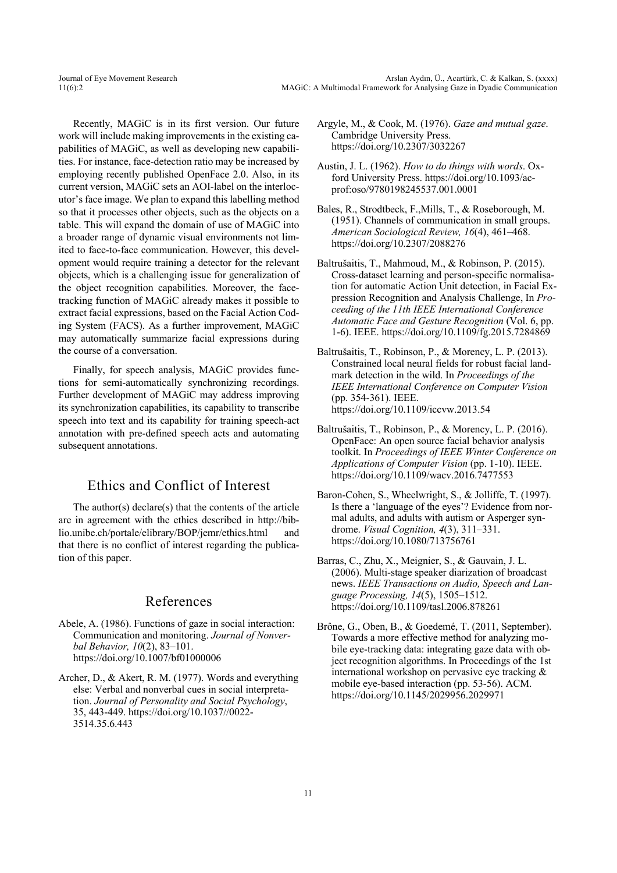Recently, MAGiC is in its first version. Our future work will include making improvements in the existing capabilities of MAGiC, as well as developing new capabilities. For instance, face-detection ratio may be increased by employing recently published OpenFace 2.0. Also, in its current version, MAGiC sets an AOI-label on the interlocutor's face image. We plan to expand this labelling method so that it processes other objects, such as the objects on a table. This will expand the domain of use of MAGiC into a broader range of dynamic visual environments not limited to face-to-face communication. However, this development would require training a detector for the relevant objects, which is a challenging issue for generalization of the object recognition capabilities. Moreover, the facetracking function of MAGiC already makes it possible to extract facial expressions, based on the Facial Action Coding System (FACS). As a further improvement, MAGiC may automatically summarize facial expressions during the course of a conversation.

Finally, for speech analysis, MAGiC provides functions for semi-automatically synchronizing recordings. Further development of MAGiC may address improving its synchronization capabilities, its capability to transcribe speech into text and its capability for training speech-act annotation with pre-defined speech acts and automating subsequent annotations.

### Ethics and Conflict of Interest

The author(s) declare(s) that the contents of the article are in agreement with the ethics described in http://biblio.unibe.ch/portale/elibrary/BOP/jemr/ethics.html and that there is no conflict of interest regarding the publication of this paper.

### References

- Abele, A. (1986). Functions of gaze in social interaction: Communication and monitoring. *Journal of Nonverbal Behavior, 10*(2), 83–101. https://doi.org/10.1007/bf01000006
- Archer, D., & Akert, R. M. (1977). Words and everything else: Verbal and nonverbal cues in social interpretation. *Journal of Personality and Social Psychology*, 35, 443-449. https://doi.org/10.1037//0022- 3514.35.6.443
- Argyle, M., & Cook, M. (1976). *Gaze and mutual gaze*. Cambridge University Press. https://doi.org/10.2307/3032267
- Austin, J. L. (1962). *How to do things with words*. Oxford University Press. https://doi.org/10.1093/acprof:oso/9780198245537.001.0001
- Bales, R., Strodtbeck, F.,Mills, T., & Roseborough, M. (1951). Channels of communication in small groups. *American Sociological Review, 16*(4), 461–468. https://doi.org/10.2307/2088276
- Baltrušaitis, T., Mahmoud, M., & Robinson, P. (2015). Cross-dataset learning and person-specific normalisation for automatic Action Unit detection, in Facial Expression Recognition and Analysis Challenge, In *Proceeding of the 11th IEEE International Conference Automatic Face and Gesture Recognition* (Vol. 6, pp. 1-6). IEEE. https://doi.org/10.1109/fg.2015.7284869
- Baltrušaitis, T., Robinson, P., & Morency, L. P. (2013). Constrained local neural fields for robust facial landmark detection in the wild. In *Proceedings of the IEEE International Conference on Computer Vision* (pp. 354-361). IEEE. https://doi.org/10.1109/iccvw.2013.54
- Baltrušaitis, T., Robinson, P., & Morency, L. P. (2016). OpenFace: An open source facial behavior analysis toolkit. In *Proceedings of IEEE Winter Conference on Applications of Computer Vision* (pp. 1-10). IEEE. https://doi.org/10.1109/wacv.2016.7477553
- Baron-Cohen, S., Wheelwright, S., & Jolliffe, T. (1997). Is there a 'language of the eyes'? Evidence from normal adults, and adults with autism or Asperger syndrome. *Visual Cognition, 4*(3), 311–331. https://doi.org/10.1080/713756761
- Barras, C., Zhu, X., Meignier, S., & Gauvain, J. L. (2006). Multi-stage speaker diarization of broadcast news. *IEEE Transactions on Audio, Speech and Language Processing, 14*(5), 1505–1512. https://doi.org/10.1109/tasl.2006.878261
- Brône, G., Oben, B., & Goedemé, T. (2011, September). Towards a more effective method for analyzing mobile eye-tracking data: integrating gaze data with object recognition algorithms. In Proceedings of the 1st international workshop on pervasive eye tracking & mobile eye-based interaction (pp. 53-56). ACM. https://doi.org/10.1145/2029956.2029971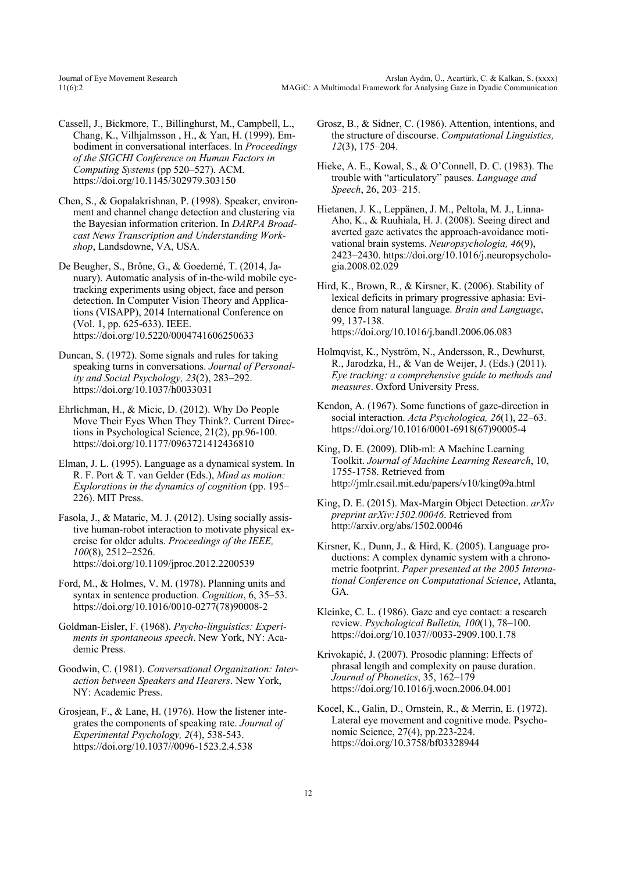- Cassell, J., Bickmore, T., Billinghurst, M., Campbell, L., Chang, K., Vilhjalmsson , H., & Yan, H. (1999). Embodiment in conversational interfaces. In *Proceedings of the SIGCHI Conference on Human Factors in Computing Systems* (pp 520–527). ACM. https://doi.org/10.1145/302979.303150
- Chen, S., & Gopalakrishnan, P. (1998). Speaker, environment and channel change detection and clustering via the Bayesian information criterion. In *DARPA Broadcast News Transcription and Understanding Workshop*, Landsdowne, VA, USA.
- De Beugher, S., Brône, G., & Goedemé, T. (2014, January). Automatic analysis of in-the-wild mobile eyetracking experiments using object, face and person detection. In Computer Vision Theory and Applications (VISAPP), 2014 International Conference on (Vol. 1, pp. 625-633). IEEE. https://doi.org/10.5220/0004741606250633
- Duncan, S. (1972). Some signals and rules for taking speaking turns in conversations. *Journal of Personality and Social Psychology, 23*(2), 283–292. https://doi.org/10.1037/h0033031
- Ehrlichman, H., & Micic, D. (2012). Why Do People Move Their Eyes When They Think?. Current Directions in Psychological Science, 21(2), pp.96-100. https://doi.org/10.1177/0963721412436810
- Elman, J. L. (1995). Language as a dynamical system. In R. F. Port & T. van Gelder (Eds.), *Mind as motion: Explorations in the dynamics of cognition* (pp. 195– 226). MIT Press.

Fasola, J., & Mataric, M. J. (2012). Using socially assistive human-robot interaction to motivate physical exercise for older adults. *Proceedings of the IEEE, 100*(8), 2512–2526. https://doi.org/10.1109/jproc.2012.2200539

- Ford, M., & Holmes, V. M. (1978). Planning units and syntax in sentence production. *Cognition*, 6, 35–53. https://doi.org/10.1016/0010-0277(78)90008-2
- Goldman-Eisler, F. (1968). *Psycho-linguistics: Experiments in spontaneous speech*. New York, NY: Academic Press.
- Goodwin, C. (1981). *Conversational Organization: Interaction between Speakers and Hearers*. New York, NY: Academic Press.
- Grosjean, F., & Lane, H. (1976). How the listener integrates the components of speaking rate. *Journal of Experimental Psychology, 2*(4), 538-543. https://doi.org/10.1037//0096-1523.2.4.538
- Grosz, B., & Sidner, C. (1986). Attention, intentions, and the structure of discourse. *Computational Linguistics, 12*(3), 175–204.
- Hieke, A. E., Kowal, S., & O'Connell, D. C. (1983). The trouble with "articulatory" pauses. *Language and Speech*, 26, 203–215.
- Hietanen, J. K., Leppänen, J. M., Peltola, M. J., Linna-Aho, K., & Ruuhiala, H. J. (2008). Seeing direct and averted gaze activates the approach-avoidance motivational brain systems. *Neuropsychologia, 46*(9), 2423–2430. https://doi.org/10.1016/j.neuropsychologia.2008.02.029
- Hird, K., Brown, R., & Kirsner, K. (2006). Stability of lexical deficits in primary progressive aphasia: Evidence from natural language. *Brain and Language*, 99, 137-138. https://doi.org/10.1016/j.bandl.2006.06.083
- Holmqvist, K., Nyström, N., Andersson, R., Dewhurst, R., Jarodzka, H., & Van de Weijer, J. (Eds.) (2011). *Eye tracking: a comprehensive guide to methods and measures*. Oxford University Press.
- Kendon, A. (1967). Some functions of gaze-direction in social interaction. *Acta Psychologica, 26*(1), 22–63. https://doi.org/10.1016/0001-6918(67)90005-4
- King, D. E. (2009). Dlib-ml: A Machine Learning Toolkit. *Journal of Machine Learning Research*, 10, 1755-1758. Retrieved from http://jmlr.csail.mit.edu/papers/v10/king09a.html
- King, D. E. (2015). Max-Margin Object Detection. *arXiv preprint arXiv:1502.00046*. Retrieved from http://arxiv.org/abs/1502.00046
- Kirsner, K., Dunn, J., & Hird, K. (2005). Language productions: A complex dynamic system with a chronometric footprint. *Paper presented at the 2005 International Conference on Computational Science*, Atlanta, GA.
- Kleinke, C. L. (1986). Gaze and eye contact: a research review. *Psychological Bulletin, 100*(1), 78–100. https://doi.org/10.1037//0033-2909.100.1.78
- Krivokapić, J. (2007). Prosodic planning: Effects of phrasal length and complexity on pause duration. *Journal of Phonetics*, 35, 162–179 https://doi.org/10.1016/j.wocn.2006.04.001
- Kocel, K., Galin, D., Ornstein, R., & Merrin, E. (1972). Lateral eye movement and cognitive mode. Psychonomic Science, 27(4), pp.223-224. https://doi.org/10.3758/bf03328944